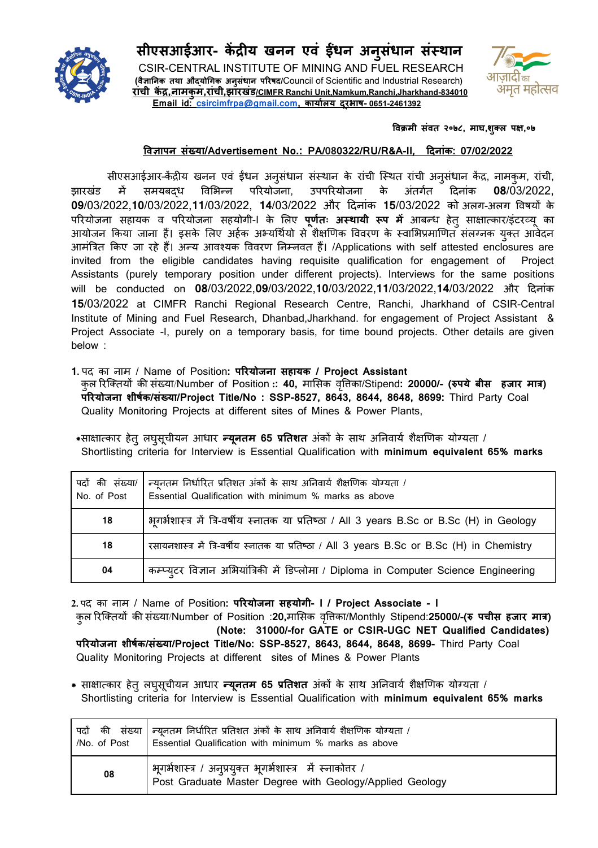

**सीएसआईआर- कय खनन एवं धन अनसु ंधान संथान**

CSIR-CENTRAL INSTITUTE OF MINING AND FUEL RESEARCH **(वै ानक तथा औयोगक अनसु ंधान परषद/**Council of Scientific and Industrial Research**) रांची क,,नामकुम,रांची,झारखंड/CIMFR Ranchi Unit,Namkum,Ranchi,Jharkhand-834010 Email id: csircimfrpa@gmail.com, कायालय दरभाष- ू 0651-2461392**



### विक्रमी संवत २०७८, माघ,शुक्ल पक्ष,०७

## **वापन संया/Advertisement No.: PA/080322/RU/R&A-II, दनांक: 07/02/2022**

सीएसआईआर-केंद्रीय खनन एवं ईंधन अनुसंधान संस्थान के रांची स्थित रांची अनुसंधान केंद्र, नामकुम, रांची, झारखंड में समयबदध विभिन्न परियोजना, उपपरियोजना के अंतर्गत दिनांक 08/03/2022, **09**/03/2022,**10**/03/2022,**11**/03/2022, **14**/03/2022 और दिनांक **15**/03/2022 को अलग-अलग विषयों के परयोजना सहायक व परयोजना सहयोगी-I के लए **पणू त ः अथायी प म** आबध हेतु सााकार/इंटरयू का आयोजन किया जाना हैं। इसके लिए अर्हक अभ्यर्थियो से शैक्षणिक विवरण के स्वाभिप्रमाणित संलग्नक युक्त आवेदन आमंत्रित किए जा रहे हैं। अन्य आवश्यक विवरण निम्नवत हैं। /Applications with self attested enclosures are invited from the eligible candidates having requisite qualification for engagement of Project Assistants (purely temporary position under different projects). Interviews for the same positions will be conducted on **08**/03/2022,**09**/03/2022,**10**/03/2022,**11**/03/2022,**14**/03/2022 और दनांक **15**/03/2022 at CIMFR Ranchi Regional Research Centre, Ranchi, Jharkhand of CSIR-Central Institute of Mining and Fuel Research, Dhanbad,Jharkhand. for engagement of Project Assistant & Project Associate -I, purely on a temporary basis, for time bound projects. Other details are given below :

**1.** पद का नाम / Name of Position**: परयोजना सहायक / Project Assistant**

कुल रितय क संया/Number of Position **:: 40,** मासक वृका/Stipend**: 20000/- (पये बीस हजार मा) परयोजना शीषक /संया/Project Title/No : SSP-8527, 8643, 8644, 8648, 8699:** Third Party Coal Quality Monitoring Projects at different sites of Mines & Power Plants,

**\***सााकार हेतुलघसु चू ीयन आधार **यनू तम 65 तशत** अकं के साथ अनवाय शै णक योयता / Shortlisting criteria for Interview is Essential Qualification with **minimum equivalent 65% marks**

| पदों की संख्या/<br>No. of Post | न्यूनतम निर्धारित प्रतिशत अंकों के साथ अनिवार्य शैक्षणिक योग्यता /<br>Essential Qualification with minimum % marks as above |
|--------------------------------|-----------------------------------------------------------------------------------------------------------------------------|
| 18                             | भूगर्भशास्त्र में त्रि-वर्षीय स्नातक या प्रतिष्ठा / All 3 years B.Sc or B.Sc (H) in Geology                                 |
| 18                             | रसायनशास्त्र में त्रि-वर्षीय स्नातक या प्रतिष्ठा / All 3 years B.Sc or B.Sc (H) in Chemistry                                |
| 04                             | कम्प्यूटर विज्ञान अभियांत्रिकी में डिप्लोमा / Diploma in Computer Science Engineering                                       |

**2.** पद का नाम / Name of Position**: परयोजना सहयोगी- I / Project Associate - I**

कुल रितय क संया/Number of Position :**20,**मासक वृका/Monthly Stipend:**25000/-( पचीस हजार मा) (Note: 31000/-for GATE or CSIR-UGC NET Qualified Candidates) परयोजना शीषक /संया/Project Title/No: SSP-8527, 8643, 8644, 8648, 8699-** Third Party Coal Quality Monitoring Projects at different sites of Mines & Power Plants

**\*** सााकार हेतुलघसु चू ीयन आधार **यनू तम 65 तशत** अकं के साथ अनवाय शै णक योयता / Shortlisting criteria for Interview is Essential Qualification with **minimum equivalent 65% marks**

| /No. of Post | पदों की संख्या   न्यूनतम निर्धारित प्रतिशत अंकों के साथ अनिवार्य शैक्षणिक योग्यता /<br>Essential Qualification with minimum % marks as above |  |  |  |
|--------------|----------------------------------------------------------------------------------------------------------------------------------------------|--|--|--|
| 08           | ं भूगभेशास्त्र / अन्पप्रयुक्त भूगर्भशास्त्र   में स्नाकोत्तर /<br>Post Graduate Master Degree with Geology/Applied Geology                   |  |  |  |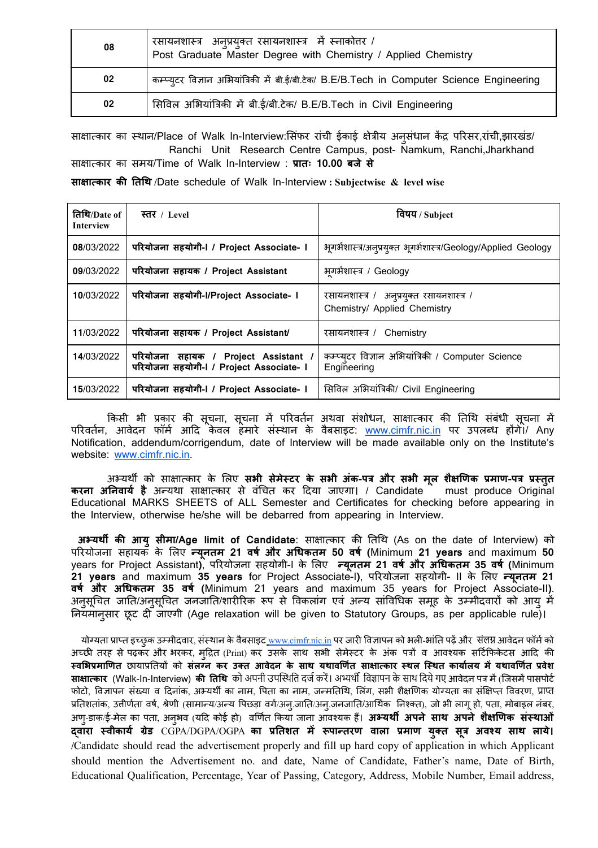| 08 | रसायनशास्त्र अनुप्रयुक्त रसायनशास्त्र में स्नाकोत्तर /<br>Post Graduate Master Degree with Chemistry / Applied Chemistry |
|----|--------------------------------------------------------------------------------------------------------------------------|
| 02 | कम्प्यूटर विज्ञान अभियांत्रिकी में बी.ई/बी.टेक/ B.E/B.Tech in Computer Science Engineering                               |
| 02 | सिविल अभियांत्रिकी में बी.ई/बी.टेक/ B.E/B.Tech in Civil Engineering                                                      |

साक्षात्कार का स्थान/Place of Walk In-Interview:सिंफर रांची ईकाई क्षेत्रीय अनुसंधान केंद्र परिसर,रांची,झारखंड/ Ranchi Unit Research Centre Campus, post- Namkum, Ranchi,Jharkhand सााकार का समय/Time of Walk In-Interview : **ातः 10.00 बजे से**

**सााकार क तथ /**Date schedule of Walk In-Interview **: Subjectwise & level wise**

| तिथि/Date of<br><b>Interview</b> | स्तर / Level                                                                   | विषय / Subject                                                            |  |  |  |
|----------------------------------|--------------------------------------------------------------------------------|---------------------------------------------------------------------------|--|--|--|
| 08/03/2022                       | परियोजना सहयोगी-I / Project Associate- I                                       | भूगभेशास्त्र/अनुप्रयुक्त भूगर्भशास्त्र/Geology/Applied Geology            |  |  |  |
| 09/03/2022                       | परियोजना सहायक / Project Assistant                                             | भगर्भशास्त्र / Geology                                                    |  |  |  |
| 10/03/2022                       | परियोजना सहयोगी-I/Project Associate- I                                         | रसायनशास्त्र / अनुप्रयुक्त रसायनशास्त्र /<br>Chemistry/ Applied Chemistry |  |  |  |
| 11/03/2022                       | परियोजना सहायक / Project Assistant/                                            | रसायनशास्त्र /<br>Chemistry                                               |  |  |  |
| 14/03/2022                       | परियोजना सहायक / Project Assistant<br>परियोजना सहयोगी-I / Project Associate- I | कम्प्यटर विज्ञान अभियांत्रिकी / Computer Science<br>Engineering           |  |  |  |
| 15/03/2022                       | परियोजना सहयोगी-I / Project Associate- I                                       | सिविल अभियांत्रिकी/ Civil Engineering                                     |  |  |  |

किसी भी प्रकार की सूचना, सूचना में परिवर्तन अथवा संशोधन, साक्षात्कार की तिथि संबंधी सचना में परवतन , आवेदन फॉम आद केवल हमारे संथान के वबै साइट: www.cimfr.nic.in पर उपलध हगे।/ Any Notification, addendum/corrigendum, date of Interview will be made available only on the Institute's website: www.cimfr.nic.in.

अभ्यर्थी को साक्षात्कार के लिए **सभी सेमेस्टर के सभी अंक-पत्र और सभी मूल शैक्षणिक <mark>प्रमाण-पत्र प्रस्तुत</mark><br><b>ानिवार्य है** अन्यथा साक्षात्कार से वंचित कर दिया जाएगा। / Candidate must produce Original **करना अनिवार्य है** अन्यथा साक्षात्कार से वंचित कर दिया जाएगा। / Candidate ' Educational MARKS SHEETS of ALL Semester and Certificates for checking before appearing in the Interview, otherwise he/she will be debarred from appearing in Interview.

**अयथ क आयु सीमा/Age limit of Candidate**: सााकार क तथ (As on the date of Interview) को परयोजना सहायक के लए **यनू तम 21 वष और अधकतम 50 वष (**Minimum **21 years** and maximum **50** years for Project Assistant**)**, परयोजना सहयोगी-I के लए **यनू तम 21 वष और अधकतम 35 वष (**Minimum **21 years** and maximum **35 years** for Project Associate-I**)**, परयोजना सहयोगी- II के लए **यनू तम 21 वष और अधकतम 35 वष (**Minimum 21 years and maximum 35 years for Project Associate-II**)**. अनसुचित जाति/अनसुचित जनजाति/शारीरिक रूप से विकलांग एवं अन्य सांविधिक समह के उम्मीदवारों को आयु में नियमानसार छूट दी जाएगी (Age relaxation will be given to Statutory Groups, as per applicable rule)।

योग्यता प्राप्त इच्छुक उम्मीदवार, संस्थान के वैबसाइट www.cimfr.nic.in पर जारी विज्ञापन को भली-भांति पढ़ें और संलग्न आवेदन फॉर्म को अच्छी तरह से पढ़कर और भरकर, मुद्रित (Print) कर उसके साथ सभी सेमेस्टर के अंक पत्रों व आवश्यक सर्टिफिकेटस आदि की **वभमाणत** छायातय को **संलन कर उत आवेदन के साथ यथावणत सााकार थल िथत कायालय मयथावणत वेश साक्षात्कार (Walk-In-Interview) <b>की तिथि** को अपनी उपस्थिति दर्ज करें। अभ्यर्थी विज्ञापन के साथ दिये गए आवेदन पत्र में (जिसमें पासपोर्ट फोटो, विज्ञापन संख्या व दिनांक, अभ्यर्थी का नाम, पिता का नाम, जन्मतिथि, लिंग, सभी शैक्षणिक योग्यता का संक्षिप्त विवरण, प्राप्त प्रतिशतांक, उत्तीर्णता वर्ष, श्रेणी (सामान्य/अन्य पिछड़ा वर्ग/अन्.जाति/अन्.जनजाति/आर्थिक निश्क्त), जो भी लागू हो, पता, मोबाइल नंबर, अण-ुडाक/ई-मेल का पता, अनभवु (यद कोई हो) वणत कया जाना आवयक ह। **अयथ अपने साथ अपने शै णक संथाओं वारा वीकाय ेड** CGPA/DGPA/OGPA **का तशत म पातरण वाला माण युत सू अवय साथ लाये। /**Candidate should read the advertisement properly and fill up hard copy of application in which Applicant should mention the Advertisement no. and date, Name of Candidate, Father's name, Date of Birth, Educational Qualification, Percentage, Year of Passing, Category, Address, Mobile Number, Email address,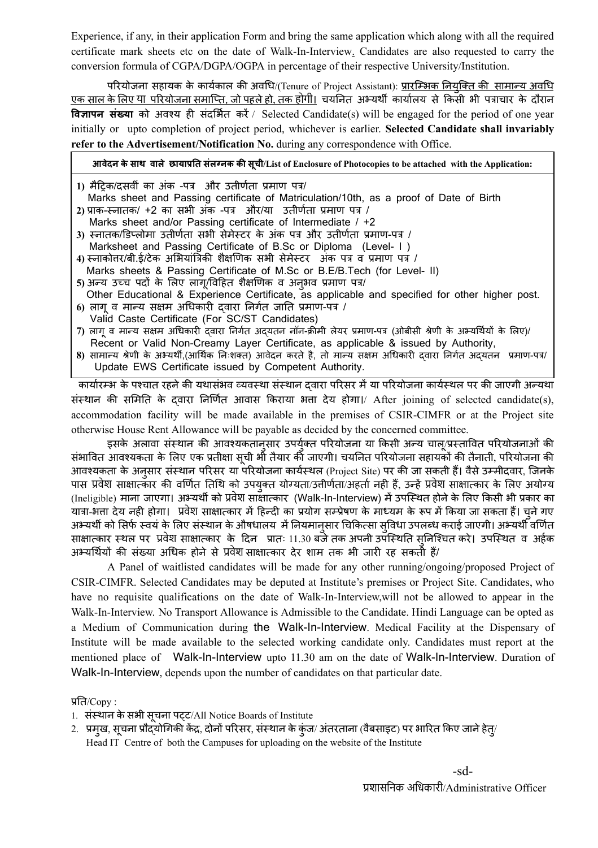Experience, if any, in their application Form and bring the same application which along with all the required certificate mark sheets etc on the date of Walk-In-Interview. Candidates are also requested to carry the conversion formula of CGPA/DGPA/OGPA in percentage of their respective University/Institution.

परियोजना सहायक के कार्यकाल की अवधि/(Tenure of Project Assistant): प्रारम्भिक नियुक्ति की सामान्य अवधि <u>एक साल के लिए या परियोजना समाप्ति, जो पहले हो, तक होगी।</u> चयनित अभ्यर्थी कार्यालय से किसी भी पत्राचार के दौरान **विज्ञापन संख्या** को अवश्य ही संदर्भित करें / Selected Candidate(s) will be engaged for the period of one year initially or upto completion of project period, whichever is earlier. **Selected Candidate shall invariably refer to the Advertisement/Notification No.** during any correspondence with Office.

**आवेदन केसाथ वाले छायात संलनक क सची ू /List of Enclosure of Photocopies to be attached with the Application:**

| 1) मैट्रिक/दसवीं का अंक -पत्र और उतीर्णता प्रमाण पत्र/                                                               |
|----------------------------------------------------------------------------------------------------------------------|
| Marks sheet and Passing certificate of Matriculation/10th, as a proof of Date of Birth                               |
| 2) प्राक-स्नातक/ +2 का सभी अंक -पत्र और/या  उतीर्णता प्रमाण पत्र /                                                   |
| Marks sheet and/or Passing certificate of Intermediate / +2                                                          |
| 3) स्नातक/डिप्लोमा उतीर्णता सभी सेमेस्टर के अंक पत्र और उतीर्णता प्रमाण-पत्र /                                       |
| Marksheet and Passing Certificate of B.Sc or Diploma (Level- I)                                                      |
| 4) स्नाकोत्तर/बी.ई/टेक अभियांत्रिकी शैक्षणिक सभी सेमेस्टर अंक पत्र व प्रमाण पत्र /                                   |
| Marks sheets & Passing Certificate of M.Sc or B.E/B.Tech (for Level- II)                                             |
| 5) अन्य उच्च पदों के लिए लागू/विहित शैक्षणिक व अन्भव प्रमाण पत्र/                                                    |
| Other Educational & Experience Certificate, as applicable and specified for other higher post.                       |
| 6) लागू व मान्य सक्षम अधिकारी दवारा निर्गत जाति प्रमाण-पत्र /                                                        |
| Valid Caste Certificate (For SC/ST Candidates)                                                                       |
| 7) लागू व मान्य सक्षम अधिकारी दवारा निर्गत अदयतन नॉन-क्रीमी लेयर प्रमाण-पत्र (ओबीसी श्रेणी के अभ्यर्थियों के लिए)/   |
| Recent or Valid Non-Creamy Layer Certificate, as applicable & issued by Authority,                                   |
| 8) सामान्य श्रेणी के अभ्यर्थी,(आर्थिक निःशक्त) आवेदन करते है, तो मान्य सक्षम अधिकारी दवारा निर्गत अदयतन प्रमाण-पत्र/ |
| Update EWS Certificate issued by Competent Authority.                                                                |
| कार्याग्रम्भ के पश्चात ग्रहते की यथामंभव व्यवस्था मंस्थान दवाग परिमर में या परियोजना कार्यस्थल पर की जाएगी भन्यथ     |

व्यवस्था संस्थान दवारा परिसर में या परियोजना कार्यस्थल पर की जाएगी अ संस्थान की समिति के दवारा निर्णित आवास किराया भत्ता देय होगा।/ After joining of selected candidate(s), accommodation facility will be made available in the premises of CSIR-CIMFR or at the Project site otherwise House Rent Allowance will be payable as decided by the concerned committee.

डसके अलावा संस्थान की आवश्यकतानसार उपर्यक्त परियोजना या किसी अन्य चाल/प्रस्तावित परियोजनाओं की संभावित आवश्यकता के लिए एक प्रतीक्षा सची भी तैयार की जाएगी। चयनित परियोजना सहायकों की तैनाती, परियोजना की आवश्यकता के अनुसार संस्थान परिसर या परियोजना कार्यस्थल (Project Site) पर की जा सकती हैं। वैसे उम्मीदवार, जिनके पास प्रवेश साक्षात्कार की वर्णित तिथि को उपयुक्त योग्यता/उत्तीर्णता/अहर्ता नही हैं, उन्हें प्रवेश साक्षात्कार के लिए अयोग्य (Ineligible) माना जाएगा। अभ्यर्थी को प्रवेश सांसात्कार (Walk-In-Interview) में उपस्थित होने के लिए किसी भी प्रकार का यात्रा-भत्ता देय नही होगा। प्रवेश साक्षात्कार में हिन्दी का प्रयोग सम्प्रेषण के माध्यम के रूप में किया जा सकता हैं। चने गए अभ्यर्थी को सिर्फ स्वयं के लिए संस्थान के औषधालय में नियमानसार चिकित्सा सुविधा उपलब्ध कराई जाएगी। अभ्यर्थी वर्णित साक्षात्कार स्थल पर प्रवेश साक्षात्कार के दिन प्रातः 11.30 बजे तक अपनी उपस्थिति सुनिश्चित करे। उपस्थित व अर्हक अभ्यर्थियों की संख्या अधिक होने से प्रवेश साक्षात्कार देर शाम तक भी जारी रह सकती हैं/

A Panel of waitlisted candidates will be made for any other running/ongoing/proposed Project of CSIR-CIMFR. Selected Candidates may be deputed at Institute's premises or Project Site. Candidates, who have no requisite qualifications on the date of Walk-In-Interview,will not be allowed to appear in the Walk-In-Interview. No Transport Allowance is Admissible to the Candidate. Hindi Language can be opted as a Medium of Communication during the Walk-In-Interview. Medical Facility at the Dispensary of Institute will be made available to the selected working candidate only. Candidates must report at the mentioned place of Walk-In-Interview upto 11.30 am on the date of Walk-In-Interview. Duration of Walk-In-Interview, depends upon the number of candidates on that particular date.

प्रति/ $Copy:$ 

- 1. संस्थान के सभी सूचना पट्ट/All Notice Boards of Institute
- 2. प्रमुख, सूचना प्रौद्योगिकी केंद्र, दोनों परिसर, संस्थान के कुंज/ अंतरताना (वैबसाइट) पर भारित किए जाने हेत्/ Head IT Centre of both the Campuses for uploading on the website of the Institute